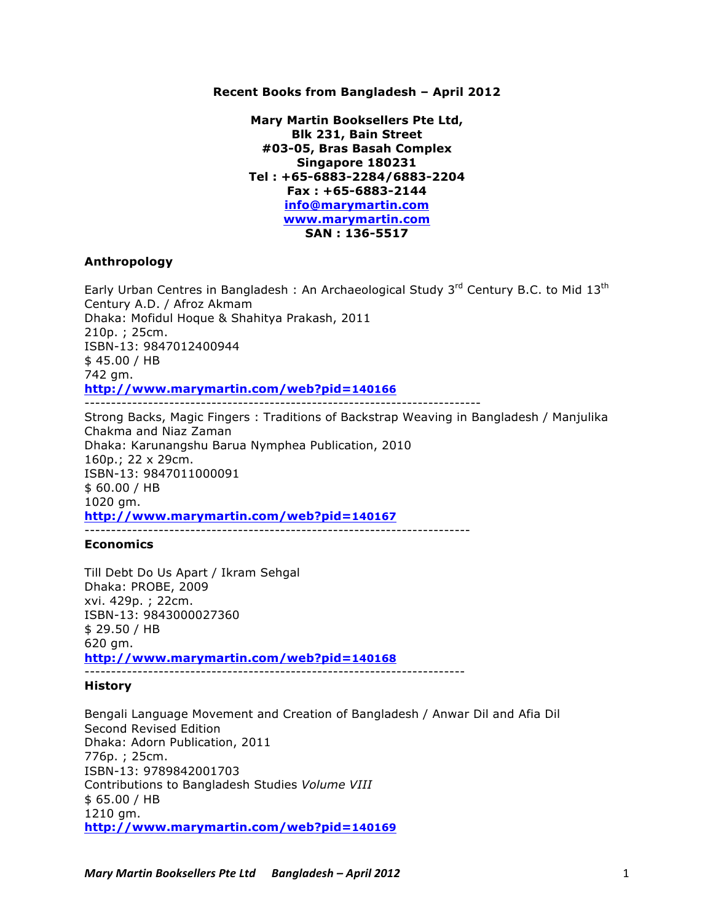### **Recent Books from Bangladesh – April 2012**

**Mary Martin Booksellers Pte Ltd, Blk 231, Bain Street #03-05, Bras Basah Complex Singapore 180231 Tel : +65-6883-2284/6883-2204 Fax : +65-6883-2144 info@marymartin.com www.marymartin.com SAN : 136-5517**

### **Anthropology**

Early Urban Centres in Bangladesh : An Archaeological Study  $3<sup>rd</sup>$  Century B.C. to Mid  $13<sup>th</sup>$ Century A.D. / Afroz Akmam Dhaka: Mofidul Hoque & Shahitya Prakash, 2011 210p. ; 25cm. ISBN-13: 9847012400944 \$ 45.00 / HB 742 gm. **http://www.marymartin.com/web?pid=140166** ---------------------------------------------------------------------------

Strong Backs, Magic Fingers : Traditions of Backstrap Weaving in Bangladesh / Manjulika Chakma and Niaz Zaman Dhaka: Karunangshu Barua Nymphea Publication, 2010 160p.; 22 x 29cm. ISBN-13: 9847011000091 \$ 60.00 / HB 1020 gm. **http://www.marymartin.com/web?pid=140167** -------------------------------------------------------------------------

## **Economics**

Till Debt Do Us Apart / Ikram Sehgal Dhaka: PROBE, 2009 xvi. 429p. ; 22cm. ISBN-13: 9843000027360 \$ 29.50 / HB 620 gm. **http://www.marymartin.com/web?pid=140168**

------------------------------------------------------------------------

## **History**

Bengali Language Movement and Creation of Bangladesh / Anwar Dil and Afia Dil Second Revised Edition Dhaka: Adorn Publication, 2011 776p. ; 25cm. ISBN-13: 9789842001703 Contributions to Bangladesh Studies *Volume VIII* \$ 65.00 / HB 1210 gm. **http://www.marymartin.com/web?pid=140169**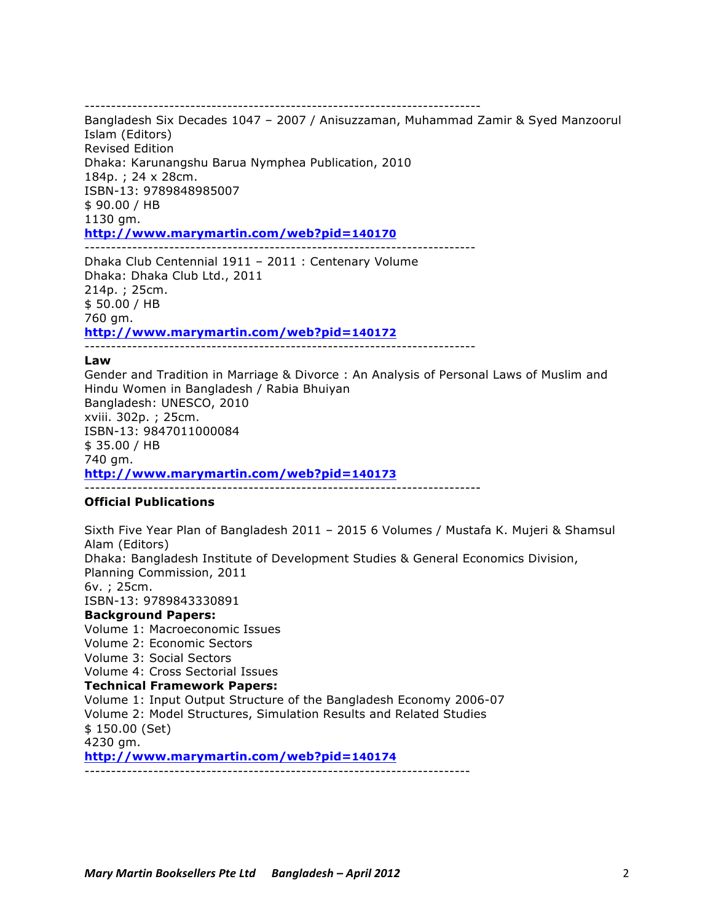---------------------------------------------------------------------------

Bangladesh Six Decades 1047 – 2007 / Anisuzzaman, Muhammad Zamir & Syed Manzoorul Islam (Editors) Revised Edition Dhaka: Karunangshu Barua Nymphea Publication, 2010 184p. ; 24 x 28cm. ISBN-13: 9789848985007 \$ 90.00 / HB 1130 gm. **http://www.marymartin.com/web?pid=140170** --------------------------------------------------------------------------

Dhaka Club Centennial 1911 – 2011 : Centenary Volume Dhaka: Dhaka Club Ltd., 2011 214p. ; 25cm. \$ 50.00 / HB 760 gm. **http://www.marymartin.com/web?pid=140172**

--------------------------------------------------------------------------

## **Law**

Gender and Tradition in Marriage & Divorce : An Analysis of Personal Laws of Muslim and Hindu Women in Bangladesh / Rabia Bhuiyan Bangladesh: UNESCO, 2010 xviii. 302p. ; 25cm. ISBN-13: 9847011000084 \$ 35.00 / HB 740 gm. **http://www.marymartin.com/web?pid=140173** ---------------------------------------------------------------------------

# **Official Publications**

Sixth Five Year Plan of Bangladesh 2011 – 2015 6 Volumes / Mustafa K. Mujeri & Shamsul Alam (Editors) Dhaka: Bangladesh Institute of Development Studies & General Economics Division, Planning Commission, 2011 6v. ; 25cm. ISBN-13: 9789843330891 **Background Papers:**

Volume 1: Macroeconomic Issues Volume 2: Economic Sectors Volume 3: Social Sectors Volume 4: Cross Sectorial Issues **Technical Framework Papers:** Volume 1: Input Output Structure of the Bangladesh Economy 2006-07 Volume 2: Model Structures, Simulation Results and Related Studies \$ 150.00 (Set) 4230 gm. **http://www.marymartin.com/web?pid=140174** -------------------------------------------------------------------------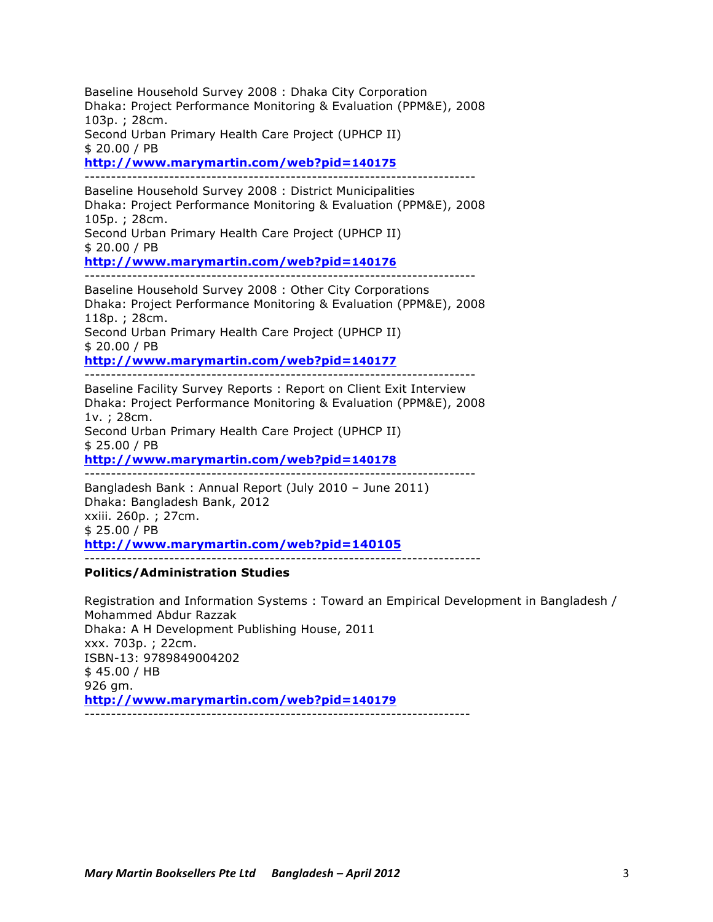Baseline Household Survey 2008 : Dhaka City Corporation Dhaka: Project Performance Monitoring & Evaluation (PPM&E), 2008 103p. ; 28cm.

Second Urban Primary Health Care Project (UPHCP II) \$ 20.00 / PB

**http://www.marymartin.com/web?pid=140175**

--------------------------------------------------------------------------

Baseline Household Survey 2008 : District Municipalities Dhaka: Project Performance Monitoring & Evaluation (PPM&E), 2008 105p. ; 28cm. Second Urban Primary Health Care Project (UPHCP II) \$ 20.00 / PB

**http://www.marymartin.com/web?pid=140176**

--------------------------------------------------------------------------

Baseline Household Survey 2008 : Other City Corporations Dhaka: Project Performance Monitoring & Evaluation (PPM&E), 2008 118p. ; 28cm. Second Urban Primary Health Care Project (UPHCP II) \$ 20.00 / PB

**http://www.marymartin.com/web?pid=140177**

--------------------------------------------------------------------------

Baseline Facility Survey Reports : Report on Client Exit Interview Dhaka: Project Performance Monitoring & Evaluation (PPM&E), 2008 1v. ; 28cm. Second Urban Primary Health Care Project (UPHCP II) \$ 25.00 / PB **http://www.marymartin.com/web?pid=140178**

--------------------------------------------------------------------------

Bangladesh Bank : Annual Report (July 2010 – June 2011) Dhaka: Bangladesh Bank, 2012 xxiii. 260p. ; 27cm. \$ 25.00 / PB **http://www.marymartin.com/web?pid=140105** ---------------------------------------------------------------------------

## **Politics/Administration Studies**

Registration and Information Systems : Toward an Empirical Development in Bangladesh / Mohammed Abdur Razzak Dhaka: A H Development Publishing House, 2011 xxx. 703p. ; 22cm. ISBN-13: 9789849004202 \$ 45.00 / HB 926 gm. **http://www.marymartin.com/web?pid=140179** -------------------------------------------------------------------------